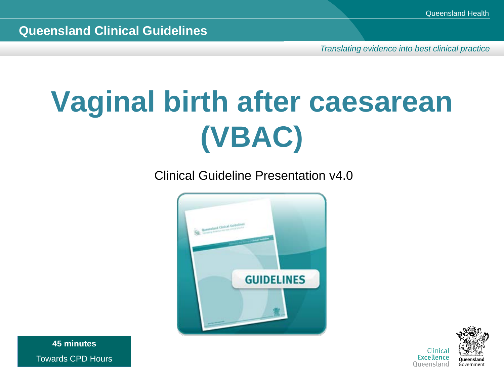*Translating evidence into best clinical practice*

## **Vaginal birth after caesarean (VBAC)**

Clinical Guideline Presentation v4.0





**45 minutes** Towards CPD Hours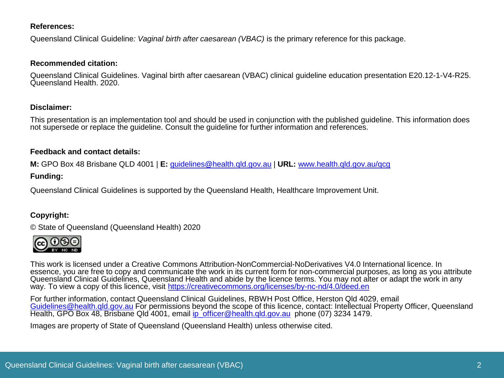#### **References:**

Queensland Clinical Guideline*: Vaginal birth after caesarean (VBAC)* is the primary reference for this package.

#### **Recommended citation:**

Queensland Clinical Guidelines. Vaginal birth after caesarean (VBAC) clinical guideline education presentation E20.12-1-V4-R25. Queensland Health. 2020.

#### **Disclaimer:**

This presentation is an implementation tool and should be used in conjunction with the published guideline. This information does not supersede or replace the guideline. Consult the guideline for further information and references.

#### **Feedback and contact details:**

**M:** GPO Box 48 Brisbane QLD 4001 | **E:** [guidelines@health.qld.gov.au](mailto:guidelines@health.qld.gov.au) | **URL:** [www.health.qld.gov.au/qcg](http://www.health.qld.gov.au/qcg)

#### **Funding:**

Queensland Clinical Guidelines is supported by the Queensland Health, Healthcare Improvement Unit.

#### **Copyright:**

© State of Queensland (Queensland Health) 2020



This work is licensed under a Creative Commons Attribution-NonCommercial-NoDerivatives V4.0 International licence. In essence, you are free to copy and communicate the work in its current form for non-commercial purposes, as long as you attribute Queensland Clinical Guidelines, Queensland Health and abide by the licence terms. You may not alter or adapt the work in any way. To view a copy of this licence, visit <https://creativecommons.org/licenses/by-nc-nd/4.0/deed.en>

For further information, contact Queensland Clinical Guidelines, RBWH Post Office, Herston Qld 4029, email [Guidelines@health.qld.gov.au](mailto:Guidelines@health.qld.gov.au) For permissions beyond the scope of this licence, contact: Intellectual Property Officer, Queensland Health, GPO Box 48, Brisbane Qld 4001, email [ip\\_officer@health.qld.gov.au](mailto:ip_officer@health.qld.gov.au) phone (07) 3234 1479.

Images are property of State of Queensland (Queensland Health) unless otherwise cited.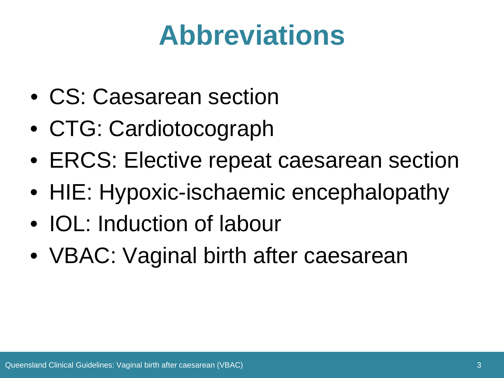#### **Abbreviations**

- CS: Caesarean section
- CTG: Cardiotocograph
- ERCS: Elective repeat caesarean section
- HIE: Hypoxic-ischaemic encephalopathy
- IOL: Induction of labour
- VBAC: Vaginal birth after caesarean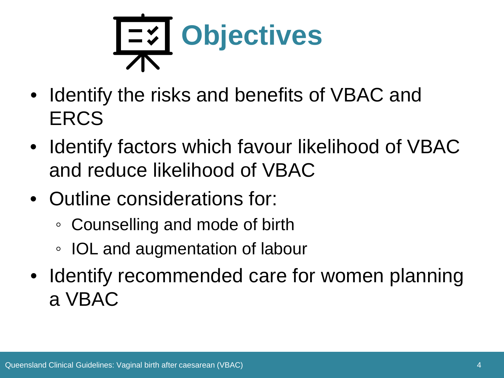

- Identify the risks and benefits of VBAC and **ERCS**
- Identify factors which favour likelihood of VBAC and reduce likelihood of VBAC
- Outline considerations for:
	- Counselling and mode of birth
	- IOL and augmentation of labour
- Identify recommended care for women planning a VBAC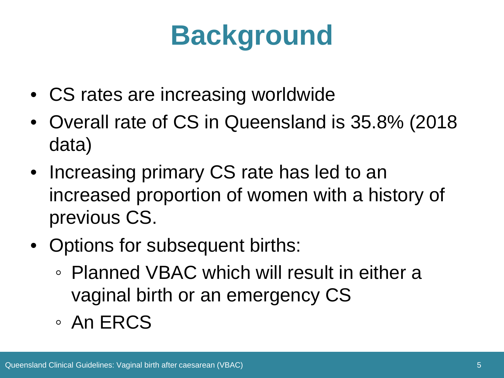## **Background**

- CS rates are increasing worldwide
- Overall rate of CS in Queensland is 35.8% (2018 data)
- Increasing primary CS rate has led to an increased proportion of women with a history of previous CS.
- Options for subsequent births:
	- Planned VBAC which will result in either a vaginal birth or an emergency CS
	- An ERCS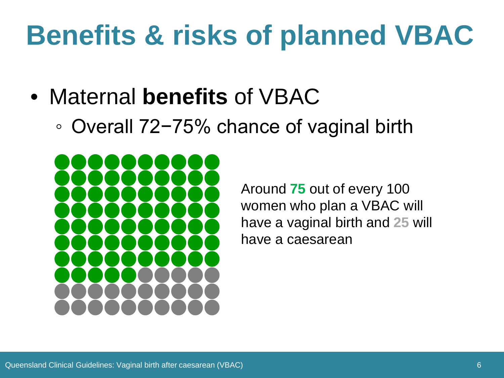- Maternal **benefits** of VBAC
	- Overall 72−75% chance of vaginal birth



Around **75** out of every 100 women who plan a VBAC will have a vaginal birth and **25** will have a caesarean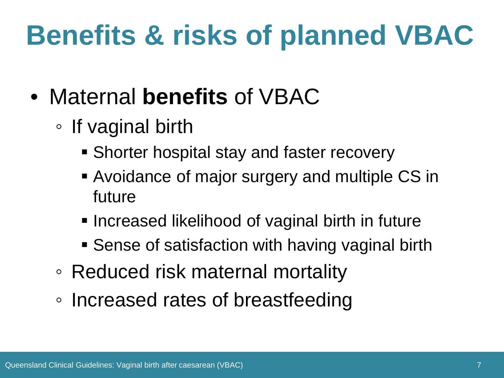- Maternal **benefits** of VBAC
	- If vaginal birth
		- Shorter hospital stay and faster recovery
		- Avoidance of major surgery and multiple CS in future
		- **Increased likelihood of vaginal birth in future**
		- **Sense of satisfaction with having vaginal birth**
	- Reduced risk maternal mortality
	- Increased rates of breastfeeding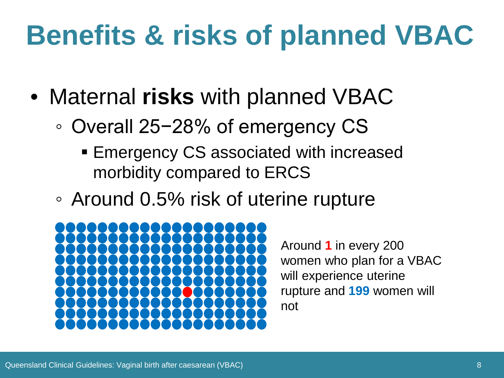- Maternal **risks** with planned VBAC
	- Overall 25−28% of emergency CS
		- **Emergency CS associated with increased** morbidity compared to ERCS
	- Around 0.5% risk of uterine rupture



Around **1** in every 200 women who plan for a VBAC will experience uterine rupture and **199** women will not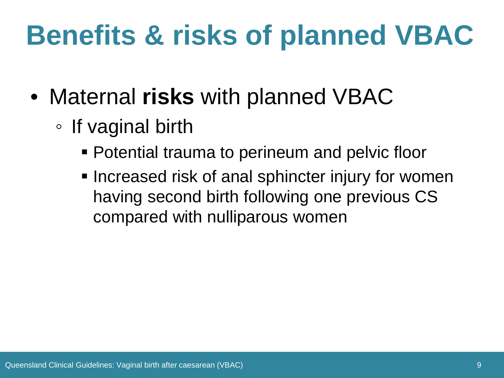- Maternal **risks** with planned VBAC
	- If vaginal birth
		- Potential trauma to perineum and pelvic floor
		- **Increased risk of anal sphincter injury for women** having second birth following one previous CS compared with nulliparous women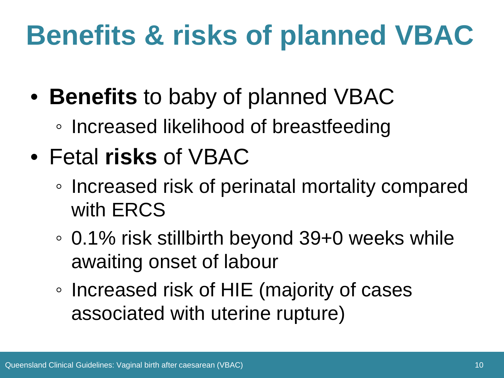- **Benefits** to baby of planned VBAC
	- Increased likelihood of breastfeeding
- Fetal **risks** of VBAC
	- Increased risk of perinatal mortality compared with ERCS
	- 0.1% risk stillbirth beyond 39+0 weeks while awaiting onset of labour
	- Increased risk of HIE (majority of cases associated with uterine rupture)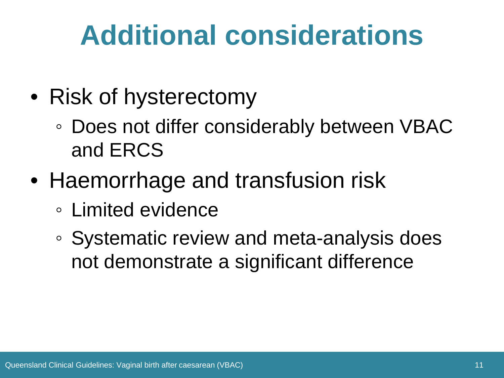#### **Additional considerations**

- Risk of hysterectomy
	- Does not differ considerably between VBAC and ERCS
- Haemorrhage and transfusion risk
	- Limited evidence
	- Systematic review and meta-analysis does not demonstrate a significant difference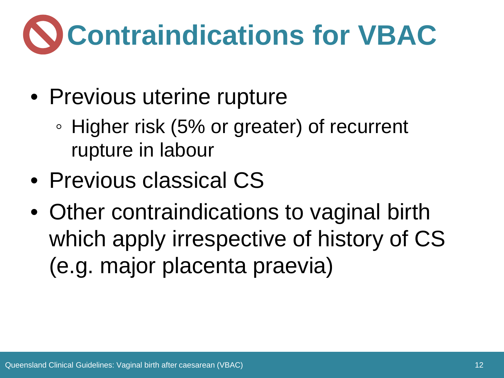# **Contraindications for VBAC**

- Previous uterine rupture
	- Higher risk (5% or greater) of recurrent rupture in labour
- Previous classical CS
- Other contraindications to vaginal birth which apply irrespective of history of CS (e.g. major placenta praevia)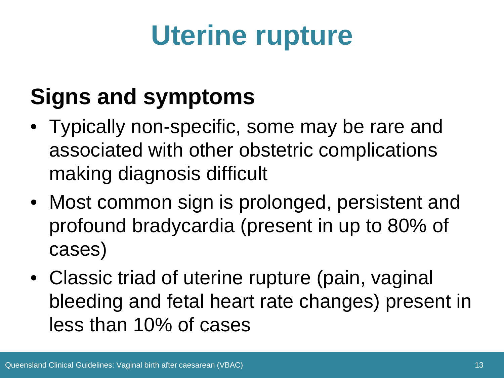## **Uterine rupture**

#### **Signs and symptoms**

- Typically non-specific, some may be rare and associated with other obstetric complications making diagnosis difficult
- Most common sign is prolonged, persistent and profound bradycardia (present in up to 80% of cases)
- Classic triad of uterine rupture (pain, vaginal bleeding and fetal heart rate changes) present in less than 10% of cases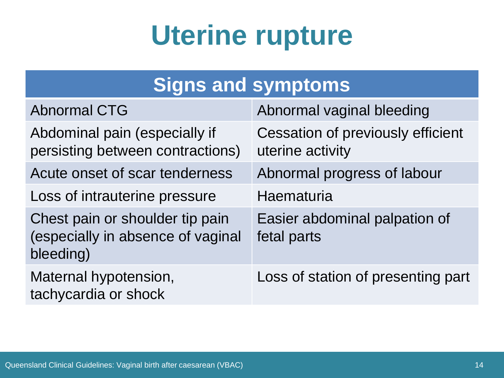#### **Uterine rupture**

| <b>Signs and symptoms</b>                                                         |                                                              |
|-----------------------------------------------------------------------------------|--------------------------------------------------------------|
| <b>Abnormal CTG</b>                                                               | Abnormal vaginal bleeding                                    |
| Abdominal pain (especially if<br>persisting between contractions)                 | <b>Cessation of previously efficient</b><br>uterine activity |
| Acute onset of scar tenderness                                                    | Abnormal progress of labour                                  |
| Loss of intrauterine pressure                                                     | Haematuria                                                   |
| Chest pain or shoulder tip pain<br>(especially in absence of vaginal<br>bleeding) | Easier abdominal palpation of<br>fetal parts                 |
| Maternal hypotension,<br>tachycardia or shock                                     | Loss of station of presenting part                           |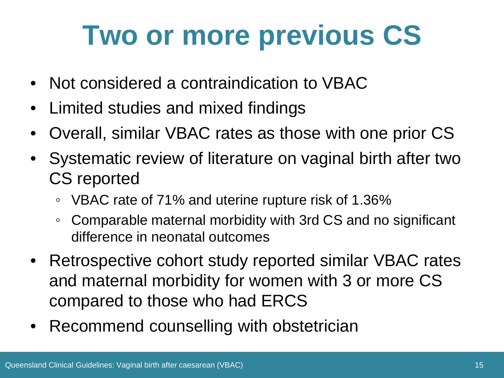#### **Two or more previous CS**

- Not considered a contraindication to VBAC
- Limited studies and mixed findings
- Overall, similar VBAC rates as those with one prior CS
- Systematic review of literature on vaginal birth after two CS reported
	- VBAC rate of 71% and uterine rupture risk of 1.36%
	- Comparable maternal morbidity with 3rd CS and no significant difference in neonatal outcomes
- Retrospective cohort study reported similar VBAC rates and maternal morbidity for women with 3 or more CS compared to those who had ERCS
- Recommend counselling with obstetrician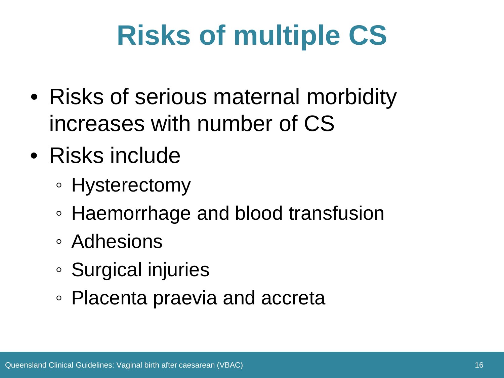## **Risks of multiple CS**

- Risks of serious maternal morbidity increases with number of CS
- Risks include
	- Hysterectomy
	- Haemorrhage and blood transfusion
	- Adhesions
	- Surgical injuries
	- Placenta praevia and accreta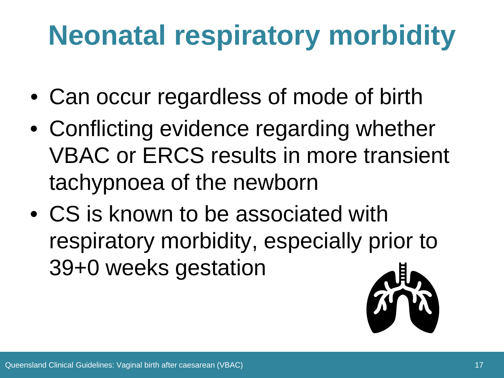## **Neonatal respiratory morbidity**

- Can occur regardless of mode of birth
- Conflicting evidence regarding whether VBAC or ERCS results in more transient tachypnoea of the newborn
- CS is known to be associated with respiratory morbidity, especially prior to 39+0 weeks gestation

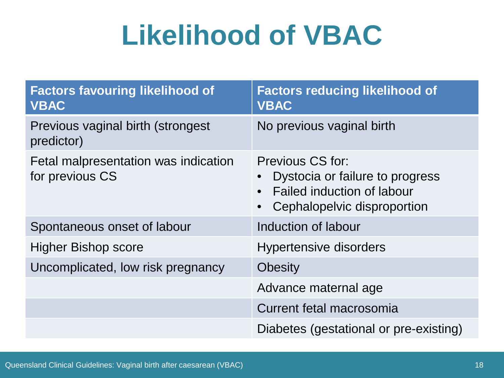#### **Likelihood of VBAC**

| <b>Factors favouring likelihood of</b><br><b>VBAC</b>   | <b>Factors reducing likelihood of</b><br><b>VBAC</b>                                                                    |
|---------------------------------------------------------|-------------------------------------------------------------------------------------------------------------------------|
| Previous vaginal birth (strongest<br>predictor)         | No previous vaginal birth                                                                                               |
| Fetal malpresentation was indication<br>for previous CS | Previous CS for:<br>Dystocia or failure to progress<br><b>Failed induction of labour</b><br>Cephalopelvic disproportion |
| Spontaneous onset of labour                             | Induction of labour                                                                                                     |
| <b>Higher Bishop score</b>                              | <b>Hypertensive disorders</b>                                                                                           |
| Uncomplicated, low risk pregnancy                       | <b>Obesity</b>                                                                                                          |
|                                                         | Advance maternal age                                                                                                    |
|                                                         | Current fetal macrosomia                                                                                                |
|                                                         | Diabetes (gestational or pre-existing)                                                                                  |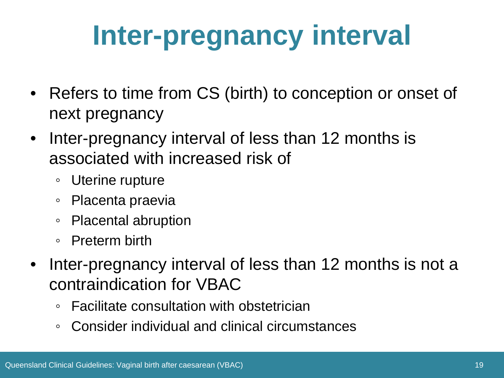## **Inter-pregnancy interval**

- Refers to time from CS (birth) to conception or onset of next pregnancy
- Inter-pregnancy interval of less than 12 months is associated with increased risk of
	- Uterine rupture
	- Placenta praevia
	- Placental abruption
	- Preterm birth
- Inter-pregnancy interval of less than 12 months is not a contraindication for VBAC
	- Facilitate consultation with obstetrician
	- Consider individual and clinical circumstances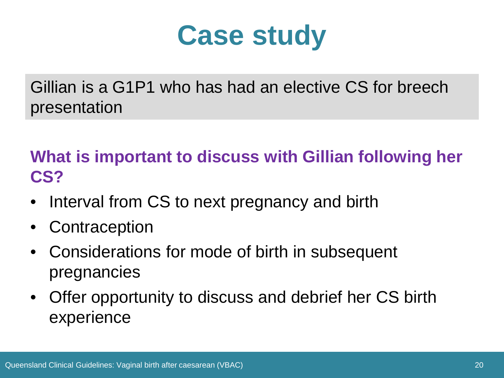#### **Case study**

Gillian is a G1P1 who has had an elective CS for breech presentation

**What is important to discuss with Gillian following her CS?**

- Interval from CS to next pregnancy and birth
- **Contraception**
- Considerations for mode of birth in subsequent pregnancies
- Offer opportunity to discuss and debrief her CS birth experience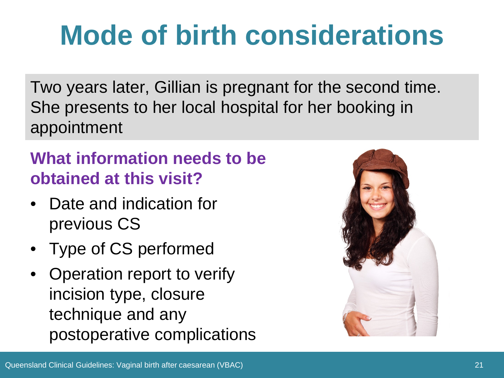### **Mode of birth considerations**

Two years later, Gillian is pregnant for the second time. She presents to her local hospital for her booking in appointment

#### **What information needs to be obtained at this visit?**

- Date and indication for previous CS
- Type of CS performed
- Operation report to verify incision type, closure technique and any postoperative complications

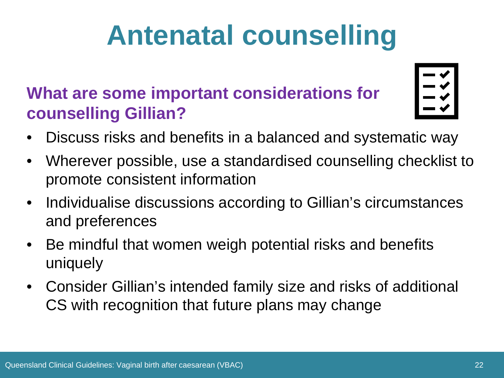## **Antenatal counselling**

#### **What are some important considerations for counselling Gillian?**

- Discuss risks and benefits in a balanced and systematic way
- Wherever possible, use a standardised counselling checklist to promote consistent information
- Individualise discussions according to Gillian's circumstances and preferences
- Be mindful that women weigh potential risks and benefits uniquely
- Consider Gillian's intended family size and risks of additional CS with recognition that future plans may change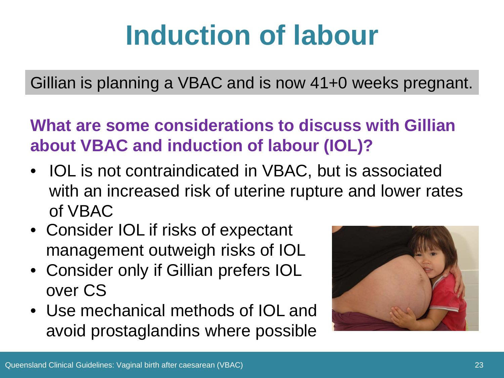## **Induction of labour**

Gillian is planning a VBAC and is now 41+0 weeks pregnant.

**What are some considerations to discuss with Gillian about VBAC and induction of labour (IOL)?**

- IOL is not contraindicated in VBAC, but is associated with an increased risk of uterine rupture and lower rates of VBAC
- Consider IOL if risks of expectant management outweigh risks of IOL
- Consider only if Gillian prefers IOL over CS
- Use mechanical methods of IOL and avoid prostaglandins where possible

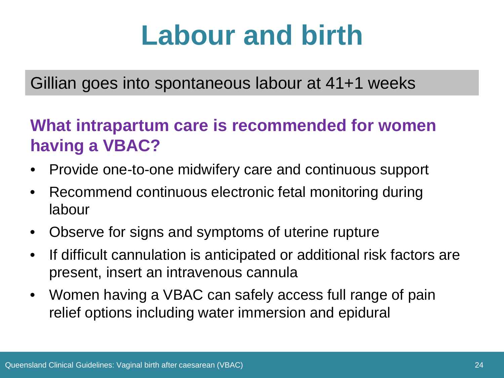#### **Labour and birth**

#### Gillian goes into spontaneous labour at 41+1 weeks

#### **What intrapartum care is recommended for women having a VBAC?**

- Provide one-to-one midwifery care and continuous support
- Recommend continuous electronic fetal monitoring during labour
- Observe for signs and symptoms of uterine rupture
- If difficult cannulation is anticipated or additional risk factors are present, insert an intravenous cannula
- Women having a VBAC can safely access full range of pain relief options including water immersion and epidural